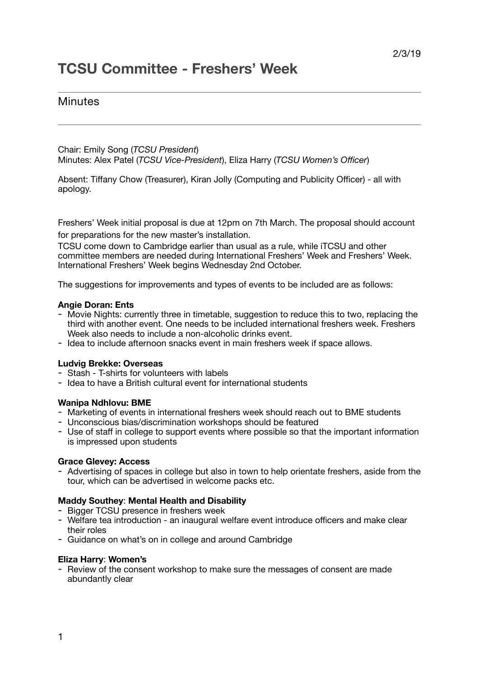# **TCSU Committee - Freshers' Week**

# **Minutes**

Chair: Emily Song (*TCSU President*) Minutes: Alex Patel (*TCSU Vice-President*), Eliza Harry (*TCSU Women's Officer*)

Absent: Tiffany Chow (Treasurer), Kiran Jolly (Computing and Publicity Officer) - all with apology.

Freshers' Week initial proposal is due at 12pm on 7th March. The proposal should account for preparations for the new master's installation.

TCSU come down to Cambridge earlier than usual as a rule, while iTCSU and other committee members are needed during International Freshers' Week and Freshers' Week. International Freshers' Week begins Wednesday 2nd October.

The suggestions for improvements and types of events to be included are as follows:

# **Angie Doran: Ents**

- Movie Nights: currently three in timetable, suggestion to reduce this to two, replacing the third with another event. One needs to be included international freshers week. Freshers Week also needs to include a non-alcoholic drinks event.
- Idea to include afternoon snacks event in main freshers week if space allows.

# **Ludvig Brekke: Overseas**

- Stash T-shirts for volunteers with labels
- Idea to have a British cultural event for international students

# **Wanipa Ndhlovu: BME**

- Marketing of events in international freshers week should reach out to BME students
- Unconscious bias/discrimination workshops should be featured
- Use of staff in college to support events where possible so that the important information is impressed upon students

# **Grace Glevey: Access**

- Advertising of spaces in college but also in town to help orientate freshers, aside from the tour, which can be advertised in welcome packs etc.

# **Maddy Southey**: **Mental Health and Disability**

- Bigger TCSU presence in freshers week
- Welfare tea introduction an inaugural welfare event introduce officers and make clear their roles
- Guidance on what's on in college and around Cambridge

# **Eliza Harry**: **Women's**

- Review of the consent workshop to make sure the messages of consent are made abundantly clear